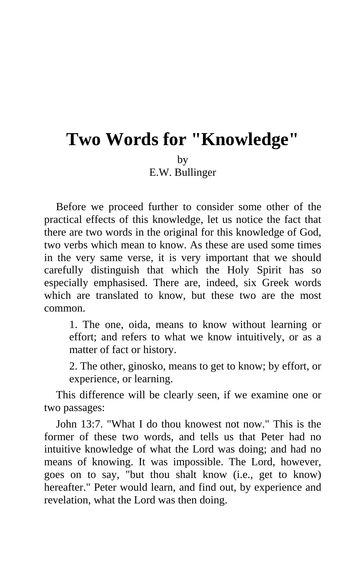## **Two Words for "Knowledge"**  by

E.W. Bullinger

Before we proceed further to consider some other of the practical effects of this knowledge, let us notice the fact that there are two words in the original for this knowledge of God, two verbs which mean to know. As these are used some times in the very same verse, it is very important that we should carefully distinguish that which the Holy Spirit has so especially emphasised. There are, indeed, six Greek words which are translated to know, but these two are the most common.

1. The one, oida, means to know without learning or effort; and refers to what we know intuitively, or as a matter of fact or history.

2. The other, ginosko, means to get to know; by effort, or experience, or learning.

This difference will be clearly seen, if we examine one or two passages:

John 13:7. "What I do thou knowest not now." This is the former of these two words, and tells us that Peter had no intuitive knowledge of what the Lord was doing; and had no means of knowing. It was impossible. The Lord, however, goes on to say, "but thou shalt know (i.e., get to know) hereafter." Peter would learn, and find out, by experience and revelation, what the Lord was then doing.